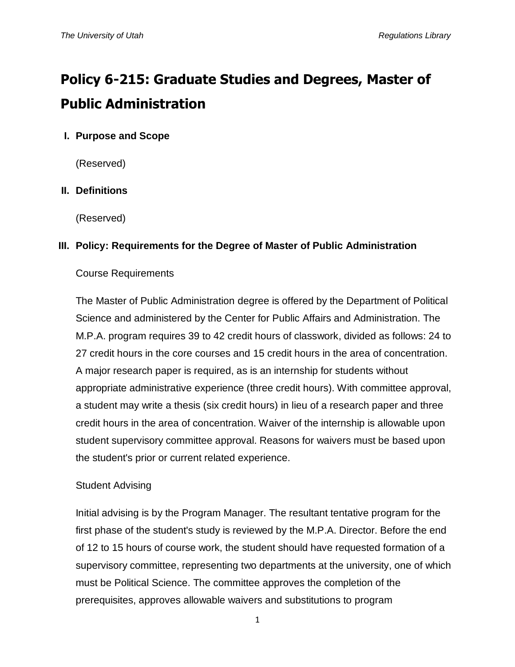# **Policy 6-215: Graduate Studies and Degrees, Master of Public Administration**

## **I. Purpose and Scope**

(Reserved)

## **II. Definitions**

(Reserved)

## **III. Policy: Requirements for the Degree of Master of Public Administration**

## Course Requirements

The Master of Public Administration degree is offered by the Department of Political Science and administered by the Center for Public Affairs and Administration. The M.P.A. program requires 39 to 42 credit hours of classwork, divided as follows: 24 to 27 credit hours in the core courses and 15 credit hours in the area of concentration. A major research paper is required, as is an internship for students without appropriate administrative experience (three credit hours). With committee approval, a student may write a thesis (six credit hours) in lieu of a research paper and three credit hours in the area of concentration. Waiver of the internship is allowable upon student supervisory committee approval. Reasons for waivers must be based upon the student's prior or current related experience.

## Student Advising

Initial advising is by the Program Manager. The resultant tentative program for the first phase of the student's study is reviewed by the M.P.A. Director. Before the end of 12 to 15 hours of course work, the student should have requested formation of a supervisory committee, representing two departments at the university, one of which must be Political Science. The committee approves the completion of the prerequisites, approves allowable waivers and substitutions to program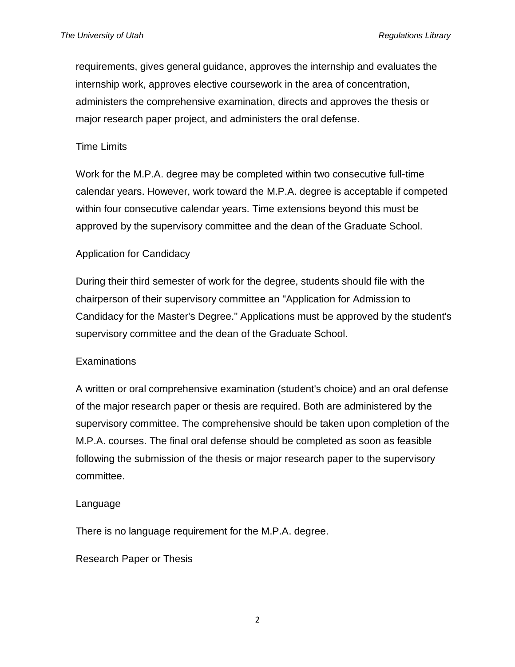requirements, gives general guidance, approves the internship and evaluates the internship work, approves elective coursework in the area of concentration, administers the comprehensive examination, directs and approves the thesis or major research paper project, and administers the oral defense.

#### Time Limits

Work for the M.P.A. degree may be completed within two consecutive full-time calendar years. However, work toward the M.P.A. degree is acceptable if competed within four consecutive calendar years. Time extensions beyond this must be approved by the supervisory committee and the dean of the Graduate School.

### Application for Candidacy

During their third semester of work for the degree, students should file with the chairperson of their supervisory committee an "Application for Admission to Candidacy for the Master's Degree." Applications must be approved by the student's supervisory committee and the dean of the Graduate School.

#### **Examinations**

A written or oral comprehensive examination (student's choice) and an oral defense of the major research paper or thesis are required. Both are administered by the supervisory committee. The comprehensive should be taken upon completion of the M.P.A. courses. The final oral defense should be completed as soon as feasible following the submission of the thesis or major research paper to the supervisory committee.

#### Language

There is no language requirement for the M.P.A. degree.

Research Paper or Thesis

2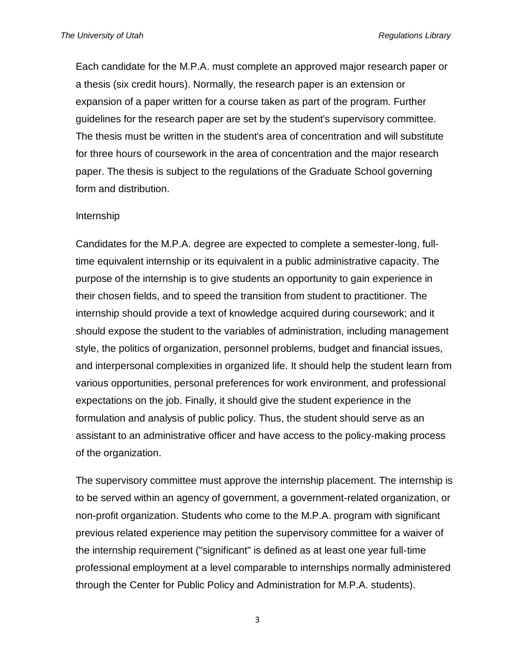Each candidate for the M.P.A. must complete an approved major research paper or a thesis (six credit hours). Normally, the research paper is an extension or expansion of a paper written for a course taken as part of the program. Further guidelines for the research paper are set by the student's supervisory committee. The thesis must be written in the student's area of concentration and will substitute for three hours of coursework in the area of concentration and the major research paper. The thesis is subject to the regulations of the Graduate School governing form and distribution.

#### Internship

Candidates for the M.P.A. degree are expected to complete a semester-long, fulltime equivalent internship or its equivalent in a public administrative capacity. The purpose of the internship is to give students an opportunity to gain experience in their chosen fields, and to speed the transition from student to practitioner. The internship should provide a text of knowledge acquired during coursework; and it should expose the student to the variables of administration, including management style, the politics of organization, personnel problems, budget and financial issues, and interpersonal complexities in organized life. It should help the student learn from various opportunities, personal preferences for work environment, and professional expectations on the job. Finally, it should give the student experience in the formulation and analysis of public policy. Thus, the student should serve as an assistant to an administrative officer and have access to the policy-making process of the organization.

The supervisory committee must approve the internship placement. The internship is to be served within an agency of government, a government-related organization, or non-profit organization. Students who come to the M.P.A. program with significant previous related experience may petition the supervisory committee for a waiver of the internship requirement ("significant" is defined as at least one year full-time professional employment at a level comparable to internships normally administered through the Center for Public Policy and Administration for M.P.A. students).

3